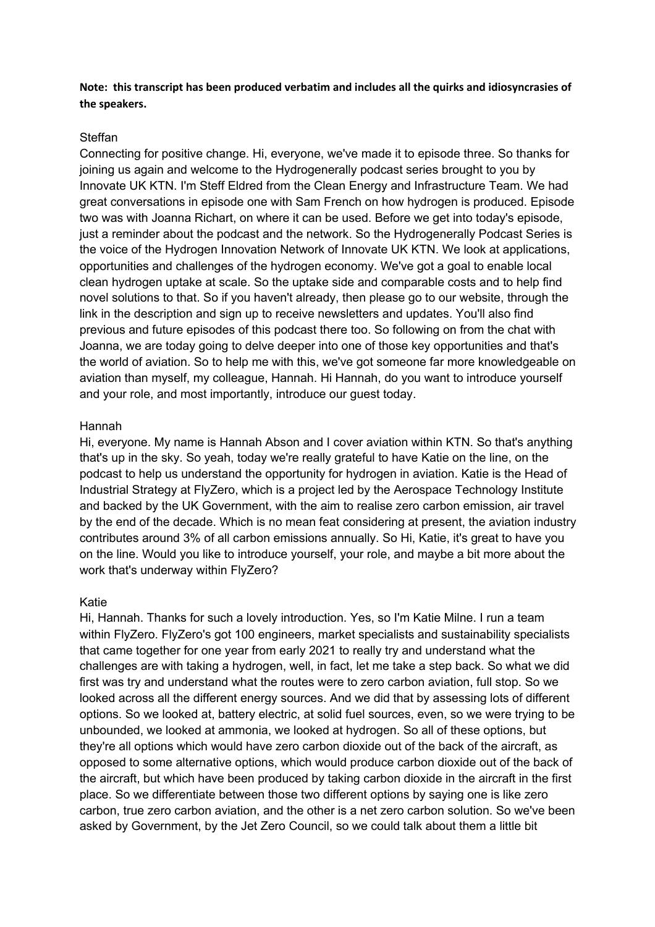**Note: this transcript has been produced verbatim and includes all the quirks and idiosyncrasies of the speakers.**

# Steffan

Connecting for positive change. Hi, everyone, we've made it to episode three. So thanks for joining us again and welcome to the Hydrogenerally podcast series brought to you by Innovate UK KTN. I'm Steff Eldred from the Clean Energy and Infrastructure Team. We had great conversations in episode one with Sam French on how hydrogen is produced. Episode two was with Joanna Richart, on where it can be used. Before we get into today's episode, just a reminder about the podcast and the network. So the Hydrogenerally Podcast Series is the voice of the Hydrogen Innovation Network of Innovate UK KTN. We look at applications, opportunities and challenges of the hydrogen economy. We've got a goal to enable local clean hydrogen uptake at scale. So the uptake side and comparable costs and to help find novel solutions to that. So if you haven't already, then please go to our website, through the link in the description and sign up to receive newsletters and updates. You'll also find previous and future episodes of this podcast there too. So following on from the chat with Joanna, we are today going to delve deeper into one of those key opportunities and that's the world of aviation. So to help me with this, we've got someone far more knowledgeable on aviation than myself, my colleague, Hannah. Hi Hannah, do you want to introduce yourself and your role, and most importantly, introduce our guest today.

# Hannah

Hi, everyone. My name is Hannah Abson and I cover aviation within KTN. So that's anything that's up in the sky. So yeah, today we're really grateful to have Katie on the line, on the podcast to help us understand the opportunity for hydrogen in aviation. Katie is the Head of Industrial Strategy at FlyZero, which is a project led by the Aerospace Technology Institute and backed by the UK Government, with the aim to realise zero carbon emission, air travel by the end of the decade. Which is no mean feat considering at present, the aviation industry contributes around 3% of all carbon emissions annually. So Hi, Katie, it's great to have you on the line. Would you like to introduce yourself, your role, and maybe a bit more about the work that's underway within FlyZero?

## Katie

Hi, Hannah. Thanks for such a lovely introduction. Yes, so I'm Katie Milne. I run a team within FlyZero. FlyZero's got 100 engineers, market specialists and sustainability specialists that came together for one year from early 2021 to really try and understand what the challenges are with taking a hydrogen, well, in fact, let me take a step back. So what we did first was try and understand what the routes were to zero carbon aviation, full stop. So we looked across all the different energy sources. And we did that by assessing lots of different options. So we looked at, battery electric, at solid fuel sources, even, so we were trying to be unbounded, we looked at ammonia, we looked at hydrogen. So all of these options, but they're all options which would have zero carbon dioxide out of the back of the aircraft, as opposed to some alternative options, which would produce carbon dioxide out of the back of the aircraft, but which have been produced by taking carbon dioxide in the aircraft in the first place. So we differentiate between those two different options by saying one is like zero carbon, true zero carbon aviation, and the other is a net zero carbon solution. So we've been asked by Government, by the Jet Zero Council, so we could talk about them a little bit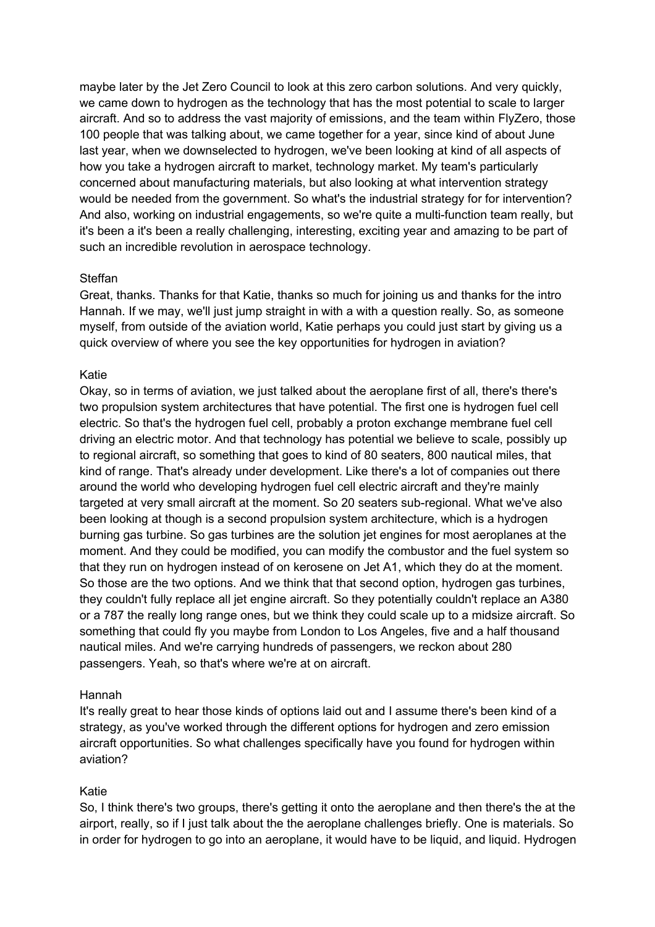maybe later by the Jet Zero Council to look at this zero carbon solutions. And very quickly, we came down to hydrogen as the technology that has the most potential to scale to larger aircraft. And so to address the vast majority of emissions, and the team within FlyZero, those 100 people that was talking about, we came together for a year, since kind of about June last year, when we downselected to hydrogen, we've been looking at kind of all aspects of how you take a hydrogen aircraft to market, technology market. My team's particularly concerned about manufacturing materials, but also looking at what intervention strategy would be needed from the government. So what's the industrial strategy for for intervention? And also, working on industrial engagements, so we're quite a multi-function team really, but it's been a it's been a really challenging, interesting, exciting year and amazing to be part of such an incredible revolution in aerospace technology.

# Steffan

Great, thanks. Thanks for that Katie, thanks so much for joining us and thanks for the intro Hannah. If we may, we'll just jump straight in with a with a question really. So, as someone myself, from outside of the aviation world, Katie perhaps you could just start by giving us a quick overview of where you see the key opportunities for hydrogen in aviation?

# Katie

Okay, so in terms of aviation, we just talked about the aeroplane first of all, there's there's two propulsion system architectures that have potential. The first one is hydrogen fuel cell electric. So that's the hydrogen fuel cell, probably a proton exchange membrane fuel cell driving an electric motor. And that technology has potential we believe to scale, possibly up to regional aircraft, so something that goes to kind of 80 seaters, 800 nautical miles, that kind of range. That's already under development. Like there's a lot of companies out there around the world who developing hydrogen fuel cell electric aircraft and they're mainly targeted at very small aircraft at the moment. So 20 seaters sub-regional. What we've also been looking at though is a second propulsion system architecture, which is a hydrogen burning gas turbine. So gas turbines are the solution jet engines for most aeroplanes at the moment. And they could be modified, you can modify the combustor and the fuel system so that they run on hydrogen instead of on kerosene on Jet A1, which they do at the moment. So those are the two options. And we think that that second option, hydrogen gas turbines, they couldn't fully replace all jet engine aircraft. So they potentially couldn't replace an A380 or a 787 the really long range ones, but we think they could scale up to a midsize aircraft. So something that could fly you maybe from London to Los Angeles, five and a half thousand nautical miles. And we're carrying hundreds of passengers, we reckon about 280 passengers. Yeah, so that's where we're at on aircraft.

# Hannah

It's really great to hear those kinds of options laid out and I assume there's been kind of a strategy, as you've worked through the different options for hydrogen and zero emission aircraft opportunities. So what challenges specifically have you found for hydrogen within aviation?

# Katie

So, I think there's two groups, there's getting it onto the aeroplane and then there's the at the airport, really, so if I just talk about the the aeroplane challenges briefly. One is materials. So in order for hydrogen to go into an aeroplane, it would have to be liquid, and liquid. Hydrogen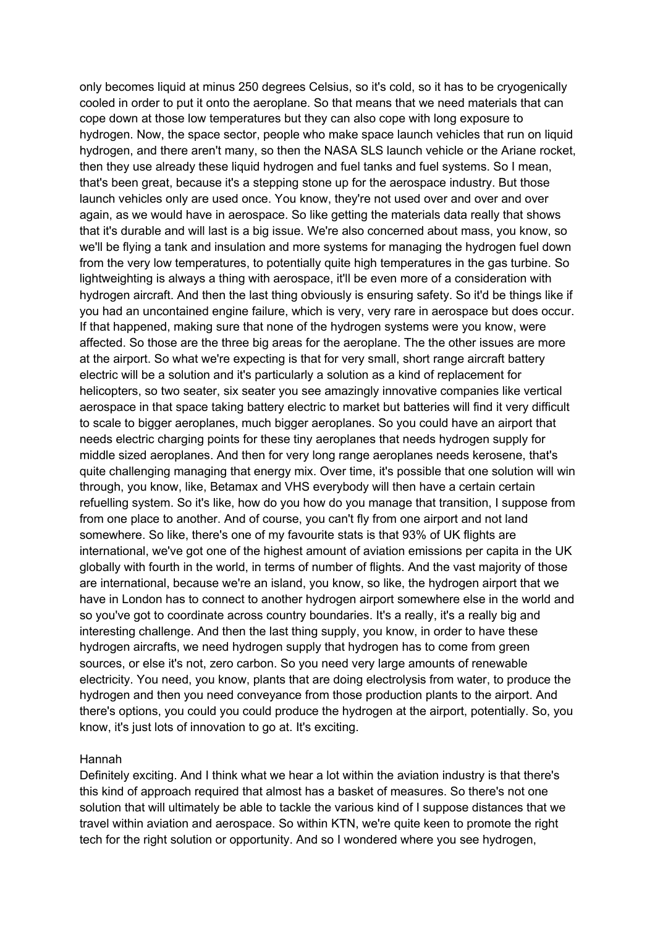only becomes liquid at minus 250 degrees Celsius, so it's cold, so it has to be cryogenically cooled in order to put it onto the aeroplane. So that means that we need materials that can cope down at those low temperatures but they can also cope with long exposure to hydrogen. Now, the space sector, people who make space launch vehicles that run on liquid hydrogen, and there aren't many, so then the NASA SLS launch vehicle or the Ariane rocket, then they use already these liquid hydrogen and fuel tanks and fuel systems. So I mean, that's been great, because it's a stepping stone up for the aerospace industry. But those launch vehicles only are used once. You know, they're not used over and over and over again, as we would have in aerospace. So like getting the materials data really that shows that it's durable and will last is a big issue. We're also concerned about mass, you know, so we'll be flying a tank and insulation and more systems for managing the hydrogen fuel down from the very low temperatures, to potentially quite high temperatures in the gas turbine. So lightweighting is always a thing with aerospace, it'll be even more of a consideration with hydrogen aircraft. And then the last thing obviously is ensuring safety. So it'd be things like if you had an uncontained engine failure, which is very, very rare in aerospace but does occur. If that happened, making sure that none of the hydrogen systems were you know, were affected. So those are the three big areas for the aeroplane. The the other issues are more at the airport. So what we're expecting is that for very small, short range aircraft battery electric will be a solution and it's particularly a solution as a kind of replacement for helicopters, so two seater, six seater you see amazingly innovative companies like vertical aerospace in that space taking battery electric to market but batteries will find it very difficult to scale to bigger aeroplanes, much bigger aeroplanes. So you could have an airport that needs electric charging points for these tiny aeroplanes that needs hydrogen supply for middle sized aeroplanes. And then for very long range aeroplanes needs kerosene, that's quite challenging managing that energy mix. Over time, it's possible that one solution will win through, you know, like, Betamax and VHS everybody will then have a certain certain refuelling system. So it's like, how do you how do you manage that transition, I suppose from from one place to another. And of course, you can't fly from one airport and not land somewhere. So like, there's one of my favourite stats is that 93% of UK flights are international, we've got one of the highest amount of aviation emissions per capita in the UK globally with fourth in the world, in terms of number of flights. And the vast majority of those are international, because we're an island, you know, so like, the hydrogen airport that we have in London has to connect to another hydrogen airport somewhere else in the world and so you've got to coordinate across country boundaries. It's a really, it's a really big and interesting challenge. And then the last thing supply, you know, in order to have these hydrogen aircrafts, we need hydrogen supply that hydrogen has to come from green sources, or else it's not, zero carbon. So you need very large amounts of renewable electricity. You need, you know, plants that are doing electrolysis from water, to produce the hydrogen and then you need conveyance from those production plants to the airport. And there's options, you could you could produce the hydrogen at the airport, potentially. So, you know, it's just lots of innovation to go at. It's exciting.

## Hannah

Definitely exciting. And I think what we hear a lot within the aviation industry is that there's this kind of approach required that almost has a basket of measures. So there's not one solution that will ultimately be able to tackle the various kind of I suppose distances that we travel within aviation and aerospace. So within KTN, we're quite keen to promote the right tech for the right solution or opportunity. And so I wondered where you see hydrogen,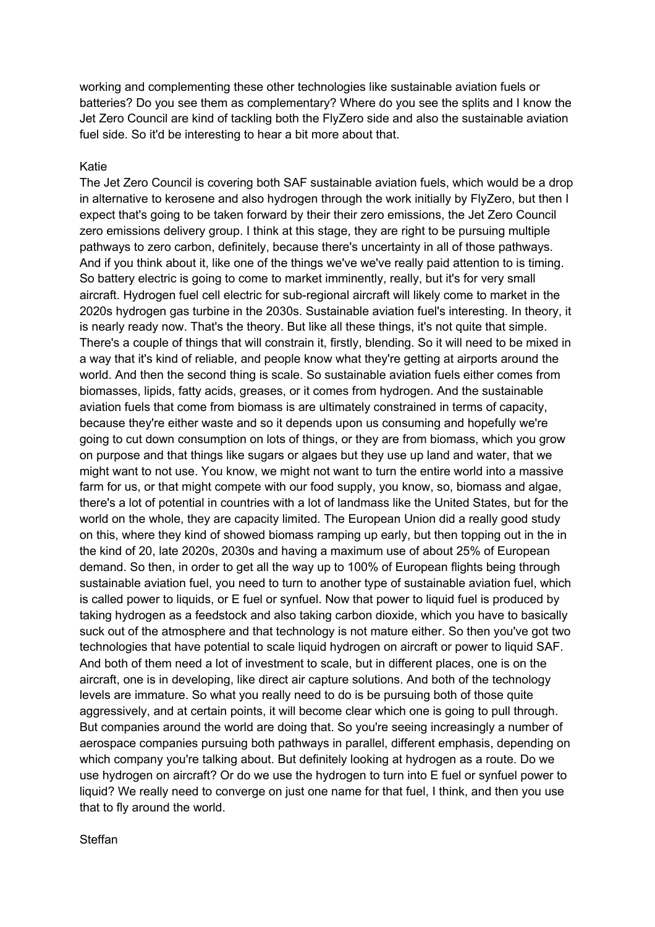working and complementing these other technologies like sustainable aviation fuels or batteries? Do you see them as complementary? Where do you see the splits and I know the Jet Zero Council are kind of tackling both the FlyZero side and also the sustainable aviation fuel side. So it'd be interesting to hear a bit more about that.

# Katie

The Jet Zero Council is covering both SAF sustainable aviation fuels, which would be a drop in alternative to kerosene and also hydrogen through the work initially by FlyZero, but then I expect that's going to be taken forward by their their zero emissions, the Jet Zero Council zero emissions delivery group. I think at this stage, they are right to be pursuing multiple pathways to zero carbon, definitely, because there's uncertainty in all of those pathways. And if you think about it, like one of the things we've we've really paid attention to is timing. So battery electric is going to come to market imminently, really, but it's for very small aircraft. Hydrogen fuel cell electric for sub-regional aircraft will likely come to market in the 2020s hydrogen gas turbine in the 2030s. Sustainable aviation fuel's interesting. In theory, it is nearly ready now. That's the theory. But like all these things, it's not quite that simple. There's a couple of things that will constrain it, firstly, blending. So it will need to be mixed in a way that it's kind of reliable, and people know what they're getting at airports around the world. And then the second thing is scale. So sustainable aviation fuels either comes from biomasses, lipids, fatty acids, greases, or it comes from hydrogen. And the sustainable aviation fuels that come from biomass is are ultimately constrained in terms of capacity, because they're either waste and so it depends upon us consuming and hopefully we're going to cut down consumption on lots of things, or they are from biomass, which you grow on purpose and that things like sugars or algaes but they use up land and water, that we might want to not use. You know, we might not want to turn the entire world into a massive farm for us, or that might compete with our food supply, you know, so, biomass and algae, there's a lot of potential in countries with a lot of landmass like the United States, but for the world on the whole, they are capacity limited. The European Union did a really good study on this, where they kind of showed biomass ramping up early, but then topping out in the in the kind of 20, late 2020s, 2030s and having a maximum use of about 25% of European demand. So then, in order to get all the way up to 100% of European flights being through sustainable aviation fuel, you need to turn to another type of sustainable aviation fuel, which is called power to liquids, or E fuel or synfuel. Now that power to liquid fuel is produced by taking hydrogen as a feedstock and also taking carbon dioxide, which you have to basically suck out of the atmosphere and that technology is not mature either. So then you've got two technologies that have potential to scale liquid hydrogen on aircraft or power to liquid SAF. And both of them need a lot of investment to scale, but in different places, one is on the aircraft, one is in developing, like direct air capture solutions. And both of the technology levels are immature. So what you really need to do is be pursuing both of those quite aggressively, and at certain points, it will become clear which one is going to pull through. But companies around the world are doing that. So you're seeing increasingly a number of aerospace companies pursuing both pathways in parallel, different emphasis, depending on which company you're talking about. But definitely looking at hydrogen as a route. Do we use hydrogen on aircraft? Or do we use the hydrogen to turn into E fuel or synfuel power to liquid? We really need to converge on just one name for that fuel, I think, and then you use that to fly around the world.

Steffan